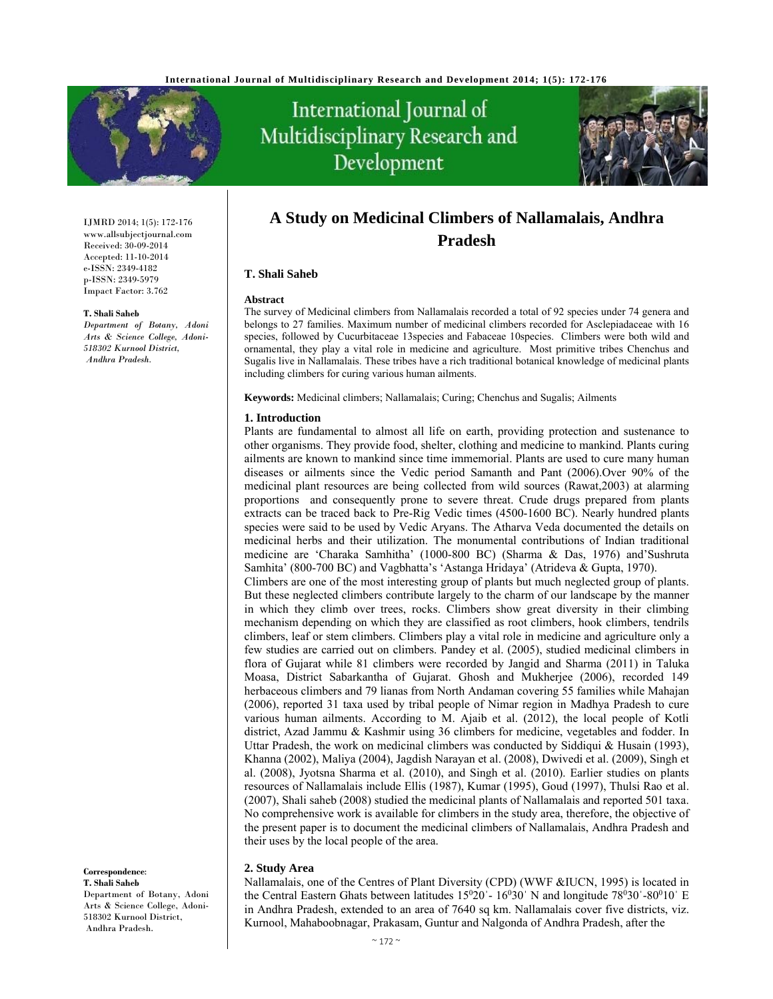

# International Journal of Multidisciplinary Research and Development



#### IJMRD 2014; 1(5): 172-176 www.allsubjectjournal.com Received: 30-09-2014 Accepted: 11-10-2014 e-ISSN: 2349-4182 p-ISSN: 2349-5979 Impact Factor: 3.762

#### **T. Shali Saheb**

*Department of Botany, Adoni Arts & Science College, Adoni-518302 Kurnool District, Andhra Pradesh.* 

# **A Study on Medicinal Climbers of Nallamalais, Andhra Pradesh**

## **T. Shali Saheb**

#### **Abstract**

The survey of Medicinal climbers from Nallamalais recorded a total of 92 species under 74 genera and belongs to 27 families. Maximum number of medicinal climbers recorded for Asclepiadaceae with 16 species, followed by Cucurbitaceae 13species and Fabaceae 10species. Climbers were both wild and ornamental, they play a vital role in medicine and agriculture. Most primitive tribes Chenchus and Sugalis live in Nallamalais. These tribes have a rich traditional botanical knowledge of medicinal plants including climbers for curing various human ailments.

**Keywords:** Medicinal climbers; Nallamalais; Curing; Chenchus and Sugalis; Ailments

#### **1. Introduction**

Plants are fundamental to almost all life on earth, providing protection and sustenance to other organisms. They provide food, shelter, clothing and medicine to mankind. Plants curing ailments are known to mankind since time immemorial. Plants are used to cure many human diseases or ailments since the Vedic period Samanth and Pant (2006).Over 90% of the medicinal plant resources are being collected from wild sources (Rawat,2003) at alarming proportions and consequently prone to severe threat. Crude drugs prepared from plants extracts can be traced back to Pre-Rig Vedic times (4500-1600 BC). Nearly hundred plants species were said to be used by Vedic Aryans. The Atharva Veda documented the details on medicinal herbs and their utilization. The monumental contributions of Indian traditional medicine are 'Charaka Samhitha' (1000-800 BC) (Sharma & Das, 1976) and'Sushruta Samhita' (800-700 BC) and Vagbhatta's 'Astanga Hridaya' (Atrideva & Gupta, 1970). Climbers are one of the most interesting group of plants but much neglected group of plants. But these neglected climbers contribute largely to the charm of our landscape by the manner in which they climb over trees, rocks. Climbers show great diversity in their climbing mechanism depending on which they are classified as root climbers, hook climbers, tendrils climbers, leaf or stem climbers. Climbers play a vital role in medicine and agriculture only a few studies are carried out on climbers. Pandey et al. (2005), studied medicinal climbers in flora of Gujarat while 81 climbers were recorded by Jangid and Sharma (2011) in Taluka Moasa, District Sabarkantha of Gujarat. Ghosh and Mukherjee (2006), recorded 149 herbaceous climbers and 79 lianas from North Andaman covering 55 families while Mahajan (2006), reported 31 taxa used by tribal people of Nimar region in Madhya Pradesh to cure various human ailments. According to M. Ajaib et al. (2012), the local people of Kotli district, Azad Jammu & Kashmir using 36 climbers for medicine, vegetables and fodder. In Uttar Pradesh, the work on medicinal climbers was conducted by Siddiqui & Husain (1993), Khanna (2002), Maliya (2004), Jagdish Narayan et al. (2008), Dwivedi et al. (2009), Singh et al. (2008), Jyotsna Sharma et al. (2010), and Singh et al. (2010). Earlier studies on plants resources of Nallamalais include Ellis (1987), Kumar (1995), Goud (1997), Thulsi Rao et al.

(2007), Shali saheb (2008) studied the medicinal plants of Nallamalais and reported 501 taxa. No comprehensive work is available for climbers in the study area, therefore, the objective of the present paper is to document the medicinal climbers of Nallamalais, Andhra Pradesh and their uses by the local people of the area.

## **2. Study Area**

Nallamalais, one of the Centres of Plant Diversity (CPD) (WWF &IUCN, 1995) is located in the Central Eastern Ghats between latitudes  $15^020 - 16^030'$  N and longitude  $78^030'$ - $80^010'$  E in Andhra Pradesh, extended to an area of 7640 sq km. Nallamalais cover five districts, viz. Kurnool, Mahaboobnagar, Prakasam, Guntur and Nalgonda of Andhra Pradesh, after the

#### **Correspondence**: **T. Shali Saheb**

Department of Botany, Adoni Arts & Science College, Adoni-518302 Kurnool District, Andhra Pradesh.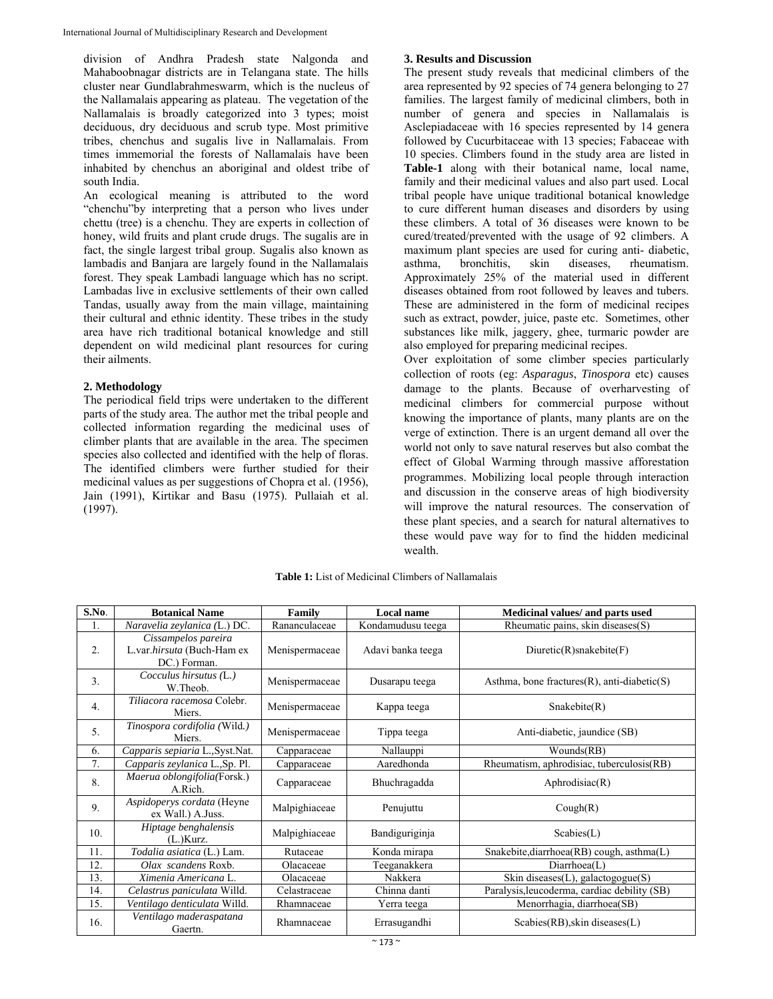division of Andhra Pradesh state Nalgonda and Mahaboobnagar districts are in Telangana state. The hills cluster near Gundlabrahmeswarm, which is the nucleus of the Nallamalais appearing as plateau. The vegetation of the Nallamalais is broadly categorized into 3 types; moist deciduous, dry deciduous and scrub type. Most primitive tribes, chenchus and sugalis live in Nallamalais. From times immemorial the forests of Nallamalais have been inhabited by chenchus an aboriginal and oldest tribe of south India.

An ecological meaning is attributed to the word "chenchu"by interpreting that a person who lives under chettu (tree) is a chenchu. They are experts in collection of honey, wild fruits and plant crude drugs. The sugalis are in fact, the single largest tribal group. Sugalis also known as lambadis and Banjara are largely found in the Nallamalais forest. They speak Lambadi language which has no script. Lambadas live in exclusive settlements of their own called Tandas, usually away from the main village, maintaining their cultural and ethnic identity. These tribes in the study area have rich traditional botanical knowledge and still dependent on wild medicinal plant resources for curing their ailments.

# **2. Methodology**

The periodical field trips were undertaken to the different parts of the study area. The author met the tribal people and collected information regarding the medicinal uses of climber plants that are available in the area. The specimen species also collected and identified with the help of floras. The identified climbers were further studied for their medicinal values as per suggestions of Chopra et al. (1956), Jain (1991), Kirtikar and Basu (1975). Pullaiah et al. (1997).

# **3. Results and Discussion**

The present study reveals that medicinal climbers of the area represented by 92 species of 74 genera belonging to 27 families. The largest family of medicinal climbers, both in number of genera and species in Nallamalais is Asclepiadaceae with 16 species represented by 14 genera followed by Cucurbitaceae with 13 species; Fabaceae with 10 species. Climbers found in the study area are listed in **Table-1** along with their botanical name, local name, family and their medicinal values and also part used. Local tribal people have unique traditional botanical knowledge to cure different human diseases and disorders by using these climbers. A total of 36 diseases were known to be cured/treated/prevented with the usage of 92 climbers. A maximum plant species are used for curing anti- diabetic, asthma, bronchitis, skin diseases, rheumatism. Approximately 25% of the material used in different diseases obtained from root followed by leaves and tubers. These are administered in the form of medicinal recipes such as extract, powder, juice, paste etc. Sometimes, other substances like milk, jaggery, ghee, turmaric powder are also employed for preparing medicinal recipes.

Over exploitation of some climber species particularly collection of roots (eg: *Asparagus*, *Tinospora* etc) causes damage to the plants. Because of overharvesting of medicinal climbers for commercial purpose without knowing the importance of plants, many plants are on the verge of extinction. There is an urgent demand all over the world not only to save natural reserves but also combat the effect of Global Warming through massive afforestation programmes. Mobilizing local people through interaction and discussion in the conserve areas of high biodiversity will improve the natural resources. The conservation of these plant species, and a search for natural alternatives to these would pave way for to find the hidden medicinal wealth.

| S.No. | <b>Botanical Name</b>                                             | Family         | <b>Local name</b> | Medicinal values/ and parts used                   |
|-------|-------------------------------------------------------------------|----------------|-------------------|----------------------------------------------------|
| 1.    | Naravelia zeylanica (L.) DC.                                      | Rananculaceae  | Kondamudusu teega | Rheumatic pains, skin diseases(S)                  |
| 2.    | Cissampelos pareira<br>L.var.hirsuta (Buch-Ham ex<br>DC.) Forman. | Menispermaceae | Adavi banka teega | $Diuretic(R)$ snakebite $(F)$                      |
| 3.    | Cocculus hirsutus (L.)<br>W.Theob.                                | Menispermaceae | Dusarapu teega    | Asthma, bone fractures $(R)$ , anti-diabetic $(S)$ |
| 4.    | Tiliacora racemosa Colebr.<br>Miers.                              | Menispermaceae | Kappa teega       | Snakebite(R)                                       |
| 5.    | Tinospora cordifolia (Wild.)<br>Miers.                            | Menispermaceae | Tippa teega       | Anti-diabetic, jaundice (SB)                       |
| 6.    | Capparis sepiaria L., Syst.Nat.                                   | Capparaceae    | Nallauppi         | Wounds(RB)                                         |
| 7.    | Capparis zeylanica L., Sp. Pl.                                    | Capparaceae    | Aaredhonda        | Rheumatism, aphrodisiac, tuberculosis(RB)          |
| 8.    | Maerua oblongifolia(Forsk.)<br>A.Rich.                            | Capparaceae    | Bhuchragadda      | Aphrodisiac(R)                                     |
| 9.    | Aspidoperys cordata (Heyne<br>ex Wall.) A.Juss.                   | Malpighiaceae  | Penujuttu         | Cough(R)                                           |
| 10.   | Hiptage benghalensis<br>$(L.)$ Kurz.                              | Malpighiaceae  | Bandiguriginja    | Scal(L)                                            |
| 11.   | Todalia asiatica (L.) Lam.                                        | Rutaceae       | Konda mirapa      | Snakebite, diarrhoea(RB) cough, asthma(L)          |
| 12.   | Olax scandens Roxb.                                               | Olacaceae      | Teeganakkera      | Diarthoea(L)                                       |
| 13.   | Ximenia Americana L.                                              | Olacaceae      | Nakkera           | Skin diseases $(L)$ , galactogogue $(S)$           |
| 14.   | Celastrus paniculata Willd.                                       | Celastraceae   | Chinna danti      | Paralysis, leucoderma, cardiac debility (SB)       |
| 15.   | Ventilago denticulata Willd.                                      | Rhamnaceae     | Yerra teega       | Menorrhagia, diarrhoea(SB)                         |
| 16.   | Ventilago maderaspatana<br>Gaertn.                                | Rhamnaceae     | Errasugandhi      | $Scables(RB),$ skin diseases $(L)$                 |

**Table 1:** List of Medicinal Climbers of Nallamalais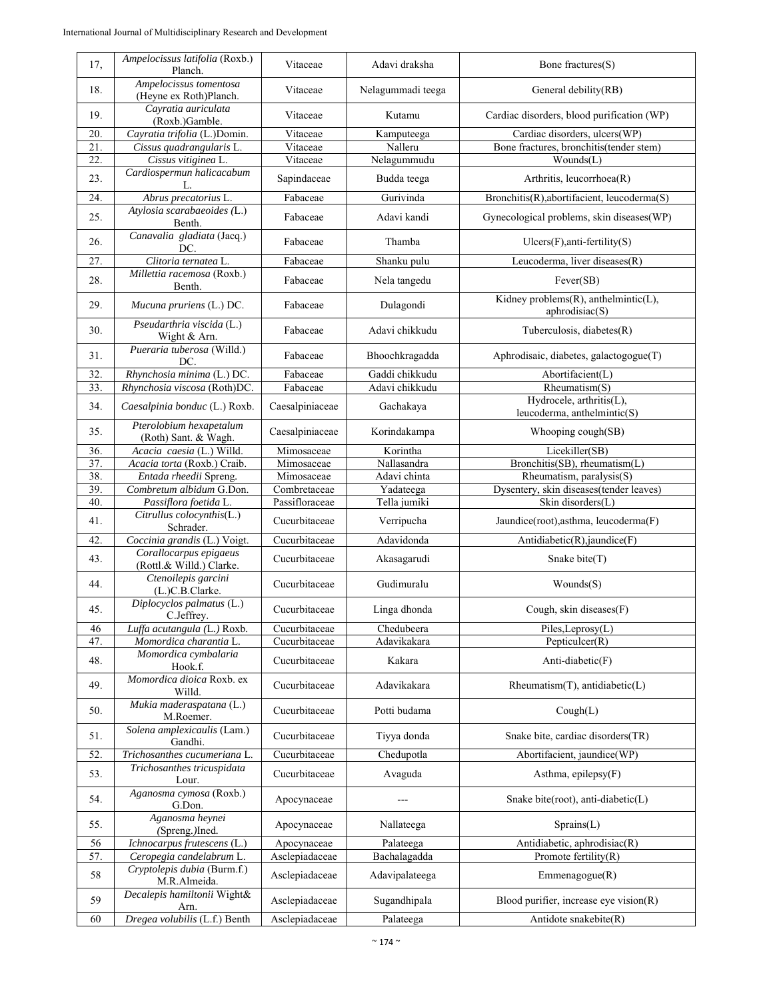| 17, | Ampelocissus latifolia (Roxb.)<br>Planch.          | Vitaceae        | Adavi draksha     | Bone fractures $(S)$                                           |
|-----|----------------------------------------------------|-----------------|-------------------|----------------------------------------------------------------|
| 18. | Ampelocissus tomentosa<br>(Heyne ex Roth)Planch.   | Vitaceae        | Nelagummadi teega | General debility(RB)                                           |
| 19. | Cayratia auriculata<br>(Roxb.)Gamble.              | Vitaceae        | Kutamu            | Cardiac disorders, blood purification (WP)                     |
| 20. | Cayratia trifolia (L.)Domin.                       | Vitaceae        | Kamputeega        | Cardiac disorders, ulcers(WP)                                  |
| 21. | Cissus quadrangularis L.                           | Vitaceae        | Nalleru           | Bone fractures, bronchitis(tender stem)                        |
| 22. | Cissus vitiginea L.                                | Vitaceae        | Nelagummudu       | Wounds(L)                                                      |
| 23. | Cardiospermun halicacabum<br>L.                    | Sapindaceae     | Budda teega       | Arthritis, leucorrhoea(R)                                      |
| 24. | Abrus precatorius L.                               | Fabaceae        | Gurivinda         | Bronchitis(R), abortifacient, leucoderma(S)                    |
| 25. | Atylosia scarabaeoides (L.)<br>Benth.              | Fabaceae        | Adavi kandi       | Gynecological problems, skin diseases(WP)                      |
| 26. | Canavalia gladiata (Jacq.)<br>DC.                  | Fabaceae        | Thamba            | $Ulcers(F),$ anti-fertility $(S)$                              |
| 27. | Clitoria ternatea L.                               | Fabaceae        | Shanku pulu       | Leucoderma, liver diseases(R)                                  |
| 28. | Millettia racemosa (Roxb.)<br>Benth.               | Fabaceae        | Nela tangedu      | Fever(SB)                                                      |
| 29. | Mucuna pruriens (L.) DC.                           | Fabaceae        | Dulagondi         | Kidney problems $(R)$ , anthelmintic $(L)$ ,<br>aphrodisiac(S) |
| 30. | Pseudarthria viscida (L.)<br>Wight & Arn.          | Fabaceae        | Adavi chikkudu    | Tuberculosis, diabetes(R)                                      |
| 31. | Pueraria tuberosa (Willd.)<br>DC.                  | Fabaceae        | Bhoochkragadda    | Aphrodisaic, diabetes, galactogogue(T)                         |
| 32. | Rhynchosia minima (L.) DC.                         | Fabaceae        | Gaddi chikkudu    | Abortifacient(L)                                               |
| 33. | Rhynchosia viscosa (Roth)DC.                       | Fabaceae        | Adavi chikkudu    | $R$ heumatism $(S)$                                            |
| 34. | Caesalpinia bonduc (L.) Roxb.                      | Caesalpiniaceae | Gachakaya         | Hydrocele, arthritis(L),<br>leucoderma, anthelmintic(S)        |
| 35. | Pterolobium hexapetalum<br>(Roth) Sant. & Wagh.    | Caesalpiniaceae | Korindakampa      | Whooping cough(SB)                                             |
| 36. | Acacia caesia (L.) Willd.                          | Mimosaceae      | Korintha          | Licekiller(SB)                                                 |
| 37. | Acacia torta (Roxb.) Craib.                        | Mimosaceae      | Nallasandra       | Bronchitis(SB), rheumatism(L)                                  |
| 38. | Entada rheedii Spreng.                             | Mimosaceae      | Adavi chinta      | Rheumatism, paralysis(S)                                       |
| 39. | Combretum albidum G.Don.                           | Combretaceae    | Yadateega         | Dysentery, skin diseases(tender leaves)                        |
| 40. | Passiflora foetida L.<br>Citrullus colocynthis(L.) | Passifloraceae  | Tella jumiki      | Skin disorders(L)                                              |
| 41. | Schrader.                                          | Cucurbitaceae   | Verripucha        | Jaundice(root),asthma, leucoderma(F)                           |
| 42. | Coccinia grandis (L.) Voigt.                       | Cucurbitaceae   | Adavidonda        | Antidiabetic(R), jaundice(F)                                   |
| 43. | Corallocarpus epigaeus<br>(Rottl.& Willd.) Clarke. | Cucurbitaceae   | Akasagarudi       | Snake bite(T)                                                  |
| 44. | Ctenoilepis garcini<br>(L.)C.B.Clarke.             | Cucurbitaceae   | Gudimuralu        | Wounds(S)                                                      |
| 45. | Diplocyclos palmatus (L.)<br>C.Jeffrey.            | Cucurbitaceae   | Linga dhonda      | Cough, skin diseases $(F)$                                     |
| 46  | Luffa acutangula (L.) Roxb.                        | Cucurbitaceae   | Chedubeera        | Piles, Leprosy(L)                                              |
| 47. | Momordica charantia L.                             | Cucurbitaceae   | Adavikakara       | Pepticulcer $(R)$                                              |
| 48. | Momordica cymbalaria<br>Hook.f.                    | Cucurbitaceae   | Kakara            | Anti-diabetic(F)                                               |
| 49. | Momordica dioica Roxb. ex<br>Willd.                | Cucurbitaceae   | Adavikakara       | Rheumatism(T), antidiabetic(L)                                 |
| 50. | Mukia maderaspatana (L.)<br>M.Roemer.              | Cucurbitaceae   | Potti budama      | Cough(L)                                                       |
| 51. | Solena amplexicaulis (Lam.)<br>Gandhi.             | Cucurbitaceae   | Tiyya donda       | Snake bite, cardiac disorders(TR)                              |
| 52. | Trichosanthes cucumeriana L.                       | Cucurbitaceae   | Chedupotla        | Abortifacient, jaundice(WP)                                    |
| 53. | Trichosanthes tricuspidata<br>Lour.                | Cucurbitaceae   | Avaguda           | Asthma, epilepsy(F)                                            |
| 54. | Aganosma cymosa (Roxb.)<br>G.Don.                  | Apocynaceae     |                   | Snake bite(root), anti-diabetic(L)                             |
| 55. | Aganosma heynei<br>(Spreng.)Ined.                  | Apocynaceae     | Nallateega        | Sprains(L)                                                     |
| 56  | Ichnocarpus frutescens (L.)                        | Apocynaceae     | Palateega         | Antidiabetic, aphrodisiac(R)                                   |
| 57. | Ceropegia candelabrum L.                           | Asclepiadaceae  | Bachalagadda      | Promote fertility(R)                                           |
| 58  | Cryptolepis dubia (Burm.f.)<br>M.R.Almeida.        | Asclepiadaceae  | Adavipalateega    | Emmenagogue(R)                                                 |
| 59  | Decalepis hamiltonii Wight&<br>Arn.                | Asclepiadaceae  | Sugandhipala      | Blood purifier, increase eye vision $(R)$                      |
| 60  | Dregea volubilis (L.f.) Benth                      | Asclepiadaceae  | Palateega         | Antidote snakebite(R)                                          |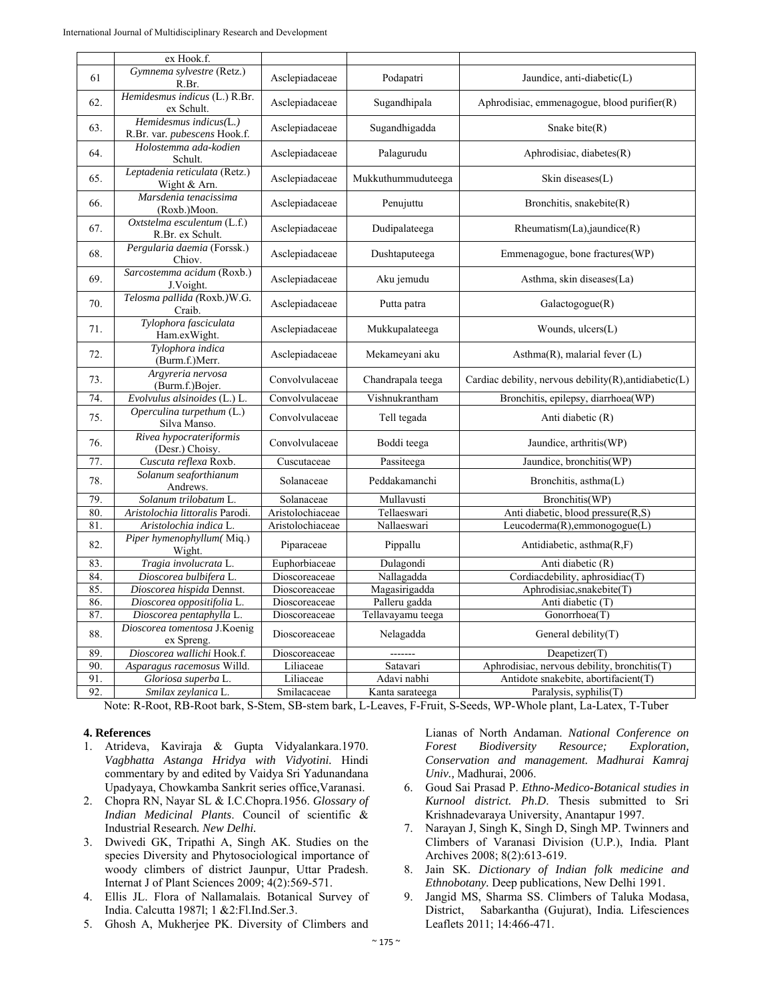|     | ex Hook.f.                                             |                  |                    |                                                               |
|-----|--------------------------------------------------------|------------------|--------------------|---------------------------------------------------------------|
| 61  | Gymnema sylvestre (Retz.)<br>R.Br.                     | Asclepiadaceae   | Podapatri          | Jaundice, anti-diabetic(L)                                    |
| 62. | Hemidesmus indicus (L.) R.Br.<br>ex Schult.            | Asclepiadaceae   | Sugandhipala       | Aphrodisiac, emmenagogue, blood purifier $(R)$                |
| 63. | Hemidesmus indicus(L.)<br>R.Br. var. pubescens Hook.f. | Asclepiadaceae   | Sugandhigadda      | Snake bite $(R)$                                              |
| 64. | Holostemma ada-kodien<br>Schult.                       | Asclepiadaceae   | Palagurudu         | Aphrodisiac, diabetes(R)                                      |
| 65. | Leptadenia reticulata (Retz.)<br>Wight & Arn.          | Asclepiadaceae   | Mukkuthummuduteega | Skin diseases $(L)$                                           |
| 66. | Marsdenia tenacissima<br>(Roxb.)Moon.                  | Asclepiadaceae   | Penujuttu          | Bronchitis, snakebite(R)                                      |
| 67. | Oxtstelma esculentum (L.f.)<br>R.Br. ex Schult.        | Asclepiadaceae   | Dudipalateega      | $R$ heumatism(La), jaundice(R)                                |
| 68. | Pergularia daemia (Forssk.)<br>Chiov.                  | Asclepiadaceae   | Dushtaputeega      | Emmenagogue, bone fractures(WP)                               |
| 69. | Sarcostemma acidum (Roxb.)<br>J.Voight.                | Asclepiadaceae   | Aku jemudu         | Asthma, skin diseases(La)                                     |
| 70. | Telosma pallida (Roxb.)W.G.<br>Craib.                  | Asclepiadaceae   | Putta patra        | Galactogogue(R)                                               |
| 71. | Tylophora fasciculata<br>Ham.exWight.                  | Asclepiadaceae   | Mukkupalateega     | Wounds, ulcers(L)                                             |
| 72. | Tylophora indica<br>(Burm.f.)Merr.                     | Asclepiadaceae   | Mekameyani aku     | Asthma $(R)$ , malarial fever $(L)$                           |
| 73. | Argyreria nervosa<br>(Burm.f.)Bojer.                   | Convolvulaceae   | Chandrapala teega  | Cardiac debility, nervous debility $(R)$ , antidiabetic $(L)$ |
| 74. | Evolvulus alsinoides (L.) L.                           | Convolvulaceae   | Vishnukrantham     | Bronchitis, epilepsy, diarrhoea(WP)                           |
| 75. | Operculina turpethum (L.)<br>Silva Manso.              | Convolvulaceae   | Tell tegada        | Anti diabetic (R)                                             |
| 76. | Rivea hypocrateriformis<br>(Desr.) Choisy.             | Convolvulaceae   | Boddi teega        | Jaundice, arthritis(WP)                                       |
| 77. | Cuscuta reflexa Roxb.                                  | Cuscutaceae      | Passiteega         | Jaundice, bronchitis(WP)                                      |
| 78. | Solanum seaforthianum<br>Andrews.                      | Solanaceae       | Peddakamanchi      | Bronchitis, asthma(L)                                         |
| 79. | Solanum trilobatum L.                                  | Solanaceae       | Mullavusti         | Bronchitis(WP)                                                |
| 80. | Aristolochia littoralis Parodi.                        | Aristolochiaceae | Tellaeswari        | Anti diabetic, blood pressure(R,S)                            |
| 81. | Aristolochia indica L                                  | Aristolochiaceae | Nallaeswari        | Leucoderma(R), emmonogogue(L)                                 |
| 82. | Piper hymenophyllum(Miq.)<br>Wight.                    | Piparaceae       | Pippallu           | Antidiabetic, asthma(R,F)                                     |
| 83. | Tragia involucrata L.                                  | Euphorbiaceae    | Dulagondi          | Anti diabetic (R)                                             |
| 84. | Dioscorea bulbifera L.                                 | Dioscoreaceae    | Nallagadda         | Cordiacdebility, aphrosidiac(T)                               |
| 85. | Dioscorea hispida Dennst.                              | Dioscoreaceae    | Magasirigadda      | Aphrodisiac, snakebite(T)                                     |
| 86. | Dioscorea oppositifolia L.                             | Dioscoreaceae    | Palleru gadda      | Anti diabetic (T)                                             |
| 87. | Dioscorea pentaphylla L.                               | Dioscoreaceae    | Tellavayamu teega  | Gonorrhoea(T)                                                 |
| 88. | Dioscorea tomentosa J.Koenig<br>ex Spreng.             | Dioscoreaceae    | Nelagadda          | General debility $(T)$                                        |
| 89. | Dioscorea wallichi Hook.f.                             | Dioscoreaceae    | -------            | Deapetizer(T)                                                 |
| 90  | Asparagus racemosus Willd.                             | Liliaceae        | Satavari           | Aphrodisiac, nervous debility, bronchitis(T)                  |
| 91. | Gloriosa superba L.                                    | Liliaceae        | Adavi nabhi        | Antidote snakebite, abortifacient(T)                          |
| 92. | Smilax zeylanica L.                                    | Smilacaceae      | Kanta sarateega    | Paralysis, syphilis(T)                                        |

Note: R-Root, RB-Root bark, S-Stem, SB-stem bark, L-Leaves, F-Fruit, S-Seeds, WP-Whole plant, La-Latex, T-Tuber

# **4. References**

- 1. Atrideva, Kaviraja & Gupta Vidyalankara.1970. *Vagbhatta Astanga Hridya with Vidyotini.* Hindi commentary by and edited by Vaidya Sri Yadunandana Upadyaya, Chowkamba Sankrit series office,Varanasi.
- 2. Chopra RN, Nayar SL & I.C.Chopra.1956. *Glossary of Indian Medicinal Plants*. Council of scientific & Industrial Research*. New Delhi.*
- 3. Dwivedi GK, Tripathi A, Singh AK. Studies on the species Diversity and Phytosociological importance of woody climbers of district Jaunpur, Uttar Pradesh. Internat J of Plant Sciences 2009; 4(2):569-571.
- 4. Ellis JL. Flora of Nallamalais*.* Botanical Survey of India. Calcutta 1987l; 1 &2:Fl.Ind.Ser.3.
- 5. Ghosh A, Mukherjee PK. Diversity of Climbers and

Lianas of North Andaman. *National Conference on Forest Biodiversity Resource; Exploration, Conservation and management. Madhurai Kamraj Univ.,* Madhurai, 2006.

- 6. Goud Sai Prasad P. *Ethno-Medico-Botanical studies in Kurnool district. Ph.D*. Thesis submitted to Sri Krishnadevaraya University, Anantapur 1997.
- 7. Narayan J, Singh K, Singh D, Singh MP. Twinners and Climbers of Varanasi Division (U.P.), India*.* Plant Archives 2008; 8(2):613-619.
- 8. Jain SK. *Dictionary of Indian folk medicine and Ethnobotany.* Deep publications, New Delhi 1991.
- 9. Jangid MS, Sharma SS. Climbers of Taluka Modasa, District, Sabarkantha (Gujurat), India*.* Lifesciences Leaflets 2011; 14:466-471.